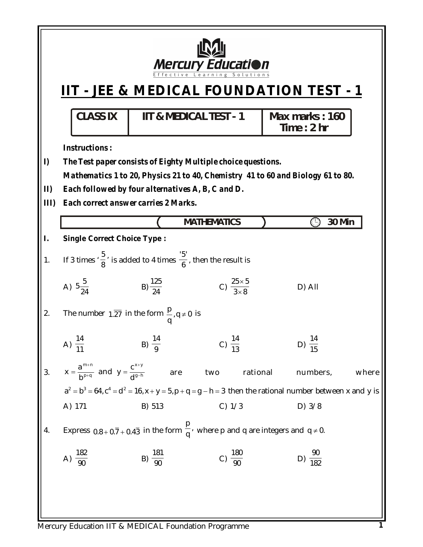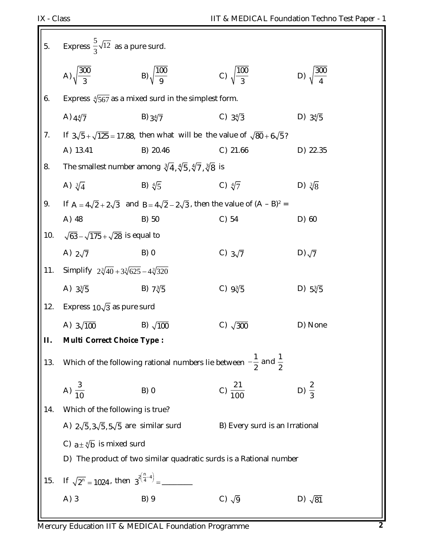ГF

| $\vert 5.$             | Express $\frac{5}{3}\sqrt{12}$ as a pure surd.              |                                                                                                  |                                |                           |
|------------------------|-------------------------------------------------------------|--------------------------------------------------------------------------------------------------|--------------------------------|---------------------------|
|                        | A) $\sqrt{\frac{300}{3}}$                                   | B) $\sqrt{\frac{100}{9}}$                                                                        | C) $\sqrt{\frac{100}{3}}$      | D) $\sqrt{\frac{300}{4}}$ |
| 6.                     |                                                             | Express $\sqrt[4]{567}$ as a mixed surd in the simplest form.                                    |                                |                           |
|                        | A) $4\sqrt[4]{7}$                                           | B) $3\sqrt[4]{7}$                                                                                | C) $3\sqrt[4]{3}$              | D) $3\sqrt[4]{5}$         |
| 7.                     |                                                             | If $3\sqrt{5} + \sqrt{125} = 17.88$ , then what will be the value of $\sqrt{80} + 6\sqrt{5}$ ?   |                                |                           |
|                        | A) 13.41                                                    | B) 20.46                                                                                         | $C)$ 21.66                     | D) 22.35                  |
| 8.                     |                                                             | The smallest number among $\sqrt[3]{4}$ , $\sqrt[4]{5}$ , $\sqrt[4]{7}$ , $\sqrt[3]{8}$ is       |                                |                           |
|                        | A) $\sqrt[3]{4}$                                            | B) $\sqrt[4]{5}$                                                                                 | C) $\sqrt[4]{7}$               | D) $\sqrt[3]{8}$          |
| $\left 9\right\rangle$ |                                                             | If $A = 4\sqrt{2} + 2\sqrt{3}$ and $B = 4\sqrt{2} - 2\sqrt{3}$ , then the value of $(A - B)^2 =$ |                                |                           |
|                        | A) 48                                                       | B) 50                                                                                            | $C)$ 54                        | $D)$ 60                   |
| 10.                    | $\sqrt{63} - \sqrt{175} + \sqrt{28}$ is equal to            |                                                                                                  |                                |                           |
|                        | A) $2\sqrt{7}$                                              | B)0                                                                                              | C) $3\sqrt{7}$                 | D) $\sqrt{7}$             |
| 11.                    | Simplify $2\sqrt[3]{40} + 3\sqrt[3]{625} - 4\sqrt[3]{320}$  |                                                                                                  |                                |                           |
|                        | A) $3\sqrt[3]{5}$                                           | B) $7\sqrt[3]{5}$                                                                                | C) $9\sqrt[3]{5}$              | D) $5\sqrt[3]{5}$         |
| 12.                    | Express $10\sqrt{3}$ as pure surd                           |                                                                                                  |                                |                           |
|                        | A) $3\sqrt{100}$                                            | B) $\sqrt{100}$                                                                                  | C) $\sqrt{300}$                | D) None                   |
| П.                     | <b>Multi Correct Choice Type:</b>                           |                                                                                                  |                                |                           |
| 13.                    |                                                             | Which of the following rational numbers lie between $-\frac{1}{2}$ and $\frac{1}{2}$             |                                |                           |
|                        | A) $\frac{3}{10}$                                           | B)0                                                                                              | C) $\frac{21}{100}$            | D) $\frac{2}{3}$          |
| 14.                    | Which of the following is true?                             |                                                                                                  |                                |                           |
|                        | A) $2\sqrt{5}$ , $3\sqrt{5}$ , $5\sqrt{5}$ are similar surd |                                                                                                  | B) Every surd is an Irrational |                           |
|                        | C) $a \pm \sqrt[3]{b}$ is mixed surd                        |                                                                                                  |                                |                           |
|                        |                                                             | D) The product of two similar quadratic surds is a Rational number                               |                                |                           |
| 15.                    |                                                             |                                                                                                  |                                |                           |
|                        | $A)$ 3                                                      | B) 9                                                                                             | C) $\sqrt{9}$                  | D) $\sqrt{81}$            |
|                        |                                                             |                                                                                                  |                                |                           |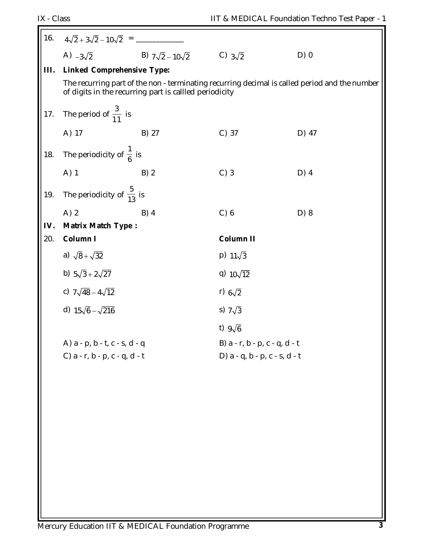| 16.  | $4\sqrt{2} + 3\sqrt{2} - 10\sqrt{2} =$ ---                                                              |                                                            |                               |                                                                                               |
|------|---------------------------------------------------------------------------------------------------------|------------------------------------------------------------|-------------------------------|-----------------------------------------------------------------------------------------------|
|      |                                                                                                         | A) $-3\sqrt{2}$ B) $7\sqrt{2} - 10\sqrt{2}$ C) $3\sqrt{2}$ |                               | $D)$ 0                                                                                        |
| III. | <b>Linked Comprehensive Type:</b>                                                                       |                                                            |                               |                                                                                               |
|      |                                                                                                         | of digits in the recurring part is callled periodicity     |                               | The recurring part of the non - terminating recurring decimal is called period and the number |
| 17.  | The period of $\frac{3}{11}$ is                                                                         |                                                            |                               |                                                                                               |
|      | A) 17                                                                                                   | B) 27                                                      | $C)$ 37                       | D) 47                                                                                         |
|      | $\begin{vmatrix} 1 & 1 & 1 \\ 1 & 1 & 1 \\ 1 & 1 & 1 \end{vmatrix}$ The periodicity of $\frac{1}{6}$ is |                                                            |                               |                                                                                               |
|      | A) 1                                                                                                    | B)2                                                        | $C)$ 3                        | $D)$ 4                                                                                        |
| 19.  | The periodicity of $\frac{5}{13}$ is                                                                    |                                                            |                               |                                                                                               |
|      | $A)$ 2                                                                                                  | $B)$ 4                                                     | C) 6                          | D) 8                                                                                          |
| IV.  | Matrix Match Type :                                                                                     |                                                            |                               |                                                                                               |
| 20.  | Column I                                                                                                |                                                            | <b>Column II</b>              |                                                                                               |
|      | a) $\sqrt{8} + \sqrt{32}$                                                                               |                                                            | $p) 11\sqrt{3}$               |                                                                                               |
|      | b) $5\sqrt{3} + 2\sqrt{27}$                                                                             |                                                            | q) $10\sqrt{12}$              |                                                                                               |
|      | c) $7\sqrt{48} - 4\sqrt{12}$                                                                            |                                                            | r) $6\sqrt{2}$                |                                                                                               |
|      | d) $15\sqrt{6} - \sqrt{216}$                                                                            |                                                            | s) $7\sqrt{3}$                |                                                                                               |
|      |                                                                                                         |                                                            | t) $9\sqrt{6}$                |                                                                                               |
|      | A) a - p, b - t, c - s, d - q                                                                           |                                                            | B) a - r, b - p, c - q, d - t |                                                                                               |
|      | C) a - r, b - p, c - q, d - t                                                                           |                                                            | D) a - q, b - p, c - s, d - t |                                                                                               |
|      |                                                                                                         |                                                            |                               |                                                                                               |
|      |                                                                                                         |                                                            |                               |                                                                                               |
|      |                                                                                                         |                                                            |                               |                                                                                               |
|      |                                                                                                         |                                                            |                               |                                                                                               |
|      |                                                                                                         |                                                            |                               |                                                                                               |
|      |                                                                                                         |                                                            |                               |                                                                                               |
|      |                                                                                                         |                                                            |                               |                                                                                               |
|      |                                                                                                         |                                                            |                               |                                                                                               |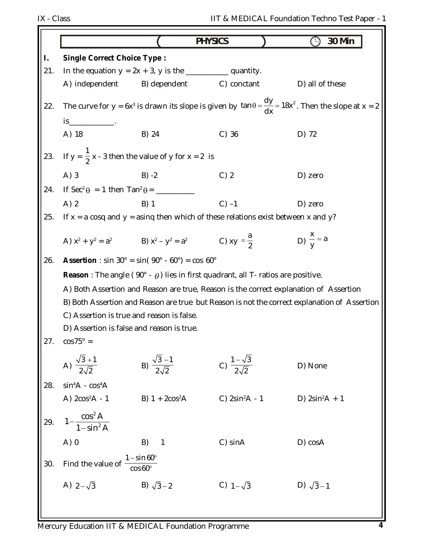|     |                                                                                                                                                                    |                                   | <b>PHYSICS</b>                                                                                  | <b>30 Min</b><br>( -)                                                                                                            |
|-----|--------------------------------------------------------------------------------------------------------------------------------------------------------------------|-----------------------------------|-------------------------------------------------------------------------------------------------|----------------------------------------------------------------------------------------------------------------------------------|
| I.  | <b>Single Correct Choice Type:</b>                                                                                                                                 |                                   |                                                                                                 |                                                                                                                                  |
| 21. |                                                                                                                                                                    |                                   | In the equation $y = 2x + 3$ , y is the _______________ quantity.                               |                                                                                                                                  |
|     | A) independent                                                                                                                                                     |                                   | B) dependent C) conctant                                                                        | D) all of these                                                                                                                  |
| 22. | $is$ <sub>______________</sub> .                                                                                                                                   |                                   |                                                                                                 | The curve for y = 6x <sup>3</sup> is drawn its slope is given by $\tan \theta = \frac{dy}{dx} = 18x^2$ . Then the slope at x = 2 |
|     | A) 18                                                                                                                                                              | B) 24                             | $C)$ 36                                                                                         | D) 72                                                                                                                            |
|     | 23. If $y = \frac{1}{2}x - 3$ then the value of y for $x = 2$ is                                                                                                   |                                   |                                                                                                 |                                                                                                                                  |
|     | A) 3                                                                                                                                                               | $B) -2$                           | $C)$ 2                                                                                          | D) zero                                                                                                                          |
|     |                                                                                                                                                                    |                                   |                                                                                                 |                                                                                                                                  |
|     | $A)$ 2                                                                                                                                                             | B) 1                              | $C$ ) $-1$                                                                                      | D) zero                                                                                                                          |
| 25. |                                                                                                                                                                    |                                   | If $x = a \cos q$ and $y = a \sin q$ then which of these relations exist between x and y?       |                                                                                                                                  |
|     | A) $x^2 + y^2 = a^2$ B) $x^2 - y^2 = a^2$ C) $xy = \frac{a}{2}$                                                                                                    |                                   |                                                                                                 | D) $\frac{x}{y} = a$                                                                                                             |
| 26. | <b>Assertion</b> : sin 30° = sin( $90^\circ$ - 60°) = cos 60°                                                                                                      |                                   |                                                                                                 |                                                                                                                                  |
|     |                                                                                                                                                                    |                                   | <b>Reason</b> : The angle (90° - $\theta$ ) lies in first quadrant, all T- ratios are positive. |                                                                                                                                  |
|     |                                                                                                                                                                    |                                   | A) Both Assertion and Reason are true, Reason is the correct explanation of Assertion           |                                                                                                                                  |
|     |                                                                                                                                                                    |                                   |                                                                                                 | B) Both Assertion and Reason are true but Reason is not the correct explanation of Assertion                                     |
|     | C) Assertion is true and reason is false.                                                                                                                          |                                   |                                                                                                 |                                                                                                                                  |
|     | D) Assertion is false and reason is true.                                                                                                                          |                                   |                                                                                                 |                                                                                                                                  |
|     |                                                                                                                                                                    |                                   |                                                                                                 |                                                                                                                                  |
|     |                                                                                                                                                                    | B) $\frac{\sqrt{3}-1}{2\sqrt{2}}$ | C) $\frac{1-\sqrt{3}}{2\sqrt{2}}$                                                               | D) None                                                                                                                          |
|     |                                                                                                                                                                    |                                   |                                                                                                 |                                                                                                                                  |
|     |                                                                                                                                                                    | B) $1 + 2cos^2 A$                 | C) $2\sin^2 A - 1$                                                                              | D) $2\sin^2 A + 1$                                                                                                               |
|     | 27. $\cos 75^\circ =$<br>A) $\frac{\sqrt{3} + 1}{2\sqrt{2}}$<br>28. $\sin^4 A - \cos^4 A$<br>A) $2\cos^2 A - 1$<br>29. $1 - \frac{\cos^2 A}{1 - \sin^2 A}$<br>A) 0 |                                   |                                                                                                 |                                                                                                                                  |
|     |                                                                                                                                                                    | B) 1                              | C) sinA                                                                                         | D) cosA                                                                                                                          |
|     | Find the value of $\frac{1-\sin 60^{\circ}}{\cos 60^{\circ}}$                                                                                                      |                                   |                                                                                                 |                                                                                                                                  |
|     | $cos 60^{\circ}$<br>A) $2-\sqrt{3}$<br>B) $\sqrt{3}-2$                                                                                                             |                                   | C) $1-\sqrt{3}$                                                                                 | D) $\sqrt{3}-1$                                                                                                                  |
|     |                                                                                                                                                                    |                                   |                                                                                                 |                                                                                                                                  |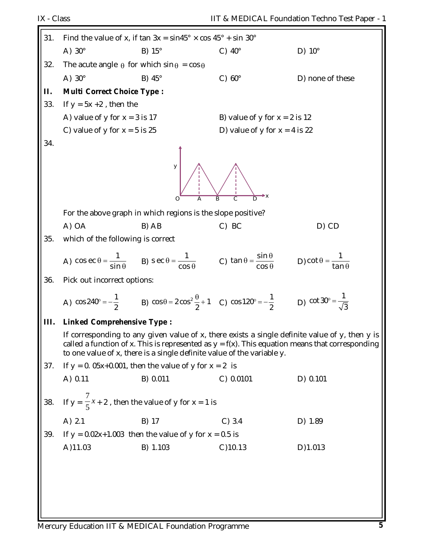| 31.  | Find the value of x, if tan $3x = \sin 45^\circ \times \cos 45^\circ + \sin 30^\circ$ |                                                                                                                                                                |                                 |                                                                                                                                                                                                      |
|------|---------------------------------------------------------------------------------------|----------------------------------------------------------------------------------------------------------------------------------------------------------------|---------------------------------|------------------------------------------------------------------------------------------------------------------------------------------------------------------------------------------------------|
|      | A) $30^\circ$                                                                         | $B) 15^\circ$                                                                                                                                                  | C) $40^\circ$                   | D) $10^{\circ}$                                                                                                                                                                                      |
| 32.  | The acute angle $\theta$ for which sin $\theta = \cos \theta$                         |                                                                                                                                                                |                                 |                                                                                                                                                                                                      |
|      | A) $30^\circ$                                                                         | B) $45^\circ$                                                                                                                                                  | C) $60^\circ$                   | D) none of these                                                                                                                                                                                     |
| П.   | <b>Multi Correct Choice Type:</b>                                                     |                                                                                                                                                                |                                 |                                                                                                                                                                                                      |
| 33.  | If $y = 5x + 2$ , then the                                                            |                                                                                                                                                                |                                 |                                                                                                                                                                                                      |
|      | A) value of y for $x = 3$ is 17                                                       |                                                                                                                                                                | B) value of y for $x = 2$ is 12 |                                                                                                                                                                                                      |
|      | C) value of y for $x = 5$ is 25                                                       |                                                                                                                                                                | D) value of y for $x = 4$ is 22 |                                                                                                                                                                                                      |
| 34.  |                                                                                       | У<br>$\bigcap$<br>A                                                                                                                                            | B                               |                                                                                                                                                                                                      |
|      |                                                                                       | For the above graph in which regions is the slope positive?                                                                                                    |                                 |                                                                                                                                                                                                      |
|      | A) OA                                                                                 | B) AB                                                                                                                                                          | C) BC                           | D) CD                                                                                                                                                                                                |
| 35.  | which of the following is correct                                                     |                                                                                                                                                                |                                 |                                                                                                                                                                                                      |
|      |                                                                                       | A) $\cos \theta = \frac{1}{\sin \theta}$ B) $\sec \theta = \frac{1}{\cos \theta}$ C) $\tan \theta = \frac{\sin \theta}{\cos \theta}$                           |                                 | D) cot $\theta = \frac{1}{\tan \theta}$                                                                                                                                                              |
| 36.  | Pick out incorrect options:                                                           |                                                                                                                                                                |                                 |                                                                                                                                                                                                      |
|      |                                                                                       | A) $\cos 240^\circ = -\frac{1}{2}$ B) $\cos \theta = 2 \cos^2 \frac{\theta}{2} + 1$ C) $\cos 120^\circ = -\frac{1}{2}$ D) $\cot 30^\circ = \frac{1}{\sqrt{3}}$ |                                 |                                                                                                                                                                                                      |
| III. | <b>Linked Comprehensive Type:</b>                                                     |                                                                                                                                                                |                                 |                                                                                                                                                                                                      |
|      |                                                                                       | to one value of x, there is a single definite value of the variable y.                                                                                         |                                 | If corresponding to any given value of x, there exists a single definite value of y, then y is<br>called a function of x. This is represented as $y = f(x)$ . This equation means that corresponding |
| 37.  |                                                                                       | If $y = 0$ . 05x+0.001, then the value of y for $x = 2$ is                                                                                                     |                                 |                                                                                                                                                                                                      |
|      | A) 0.11                                                                               | B) 0.011                                                                                                                                                       | C) 0.0101                       | D) 0.101                                                                                                                                                                                             |
| 38.  |                                                                                       | If $y = \frac{7}{5}x + 2$ , then the value of y for $x = 1$ is                                                                                                 |                                 |                                                                                                                                                                                                      |
|      | A) 2.1                                                                                | B) 17                                                                                                                                                          | C) 3.4                          | D) 1.89                                                                                                                                                                                              |
| 39.  |                                                                                       | If $y = 0.02x + 1.003$ then the value of y for $x = 0.5$ is                                                                                                    |                                 |                                                                                                                                                                                                      |
|      | A)11.03                                                                               | B) 1.103                                                                                                                                                       | $C$ )10.13                      | D)1.013                                                                                                                                                                                              |
|      |                                                                                       |                                                                                                                                                                |                                 |                                                                                                                                                                                                      |
|      |                                                                                       |                                                                                                                                                                |                                 |                                                                                                                                                                                                      |
|      |                                                                                       |                                                                                                                                                                |                                 |                                                                                                                                                                                                      |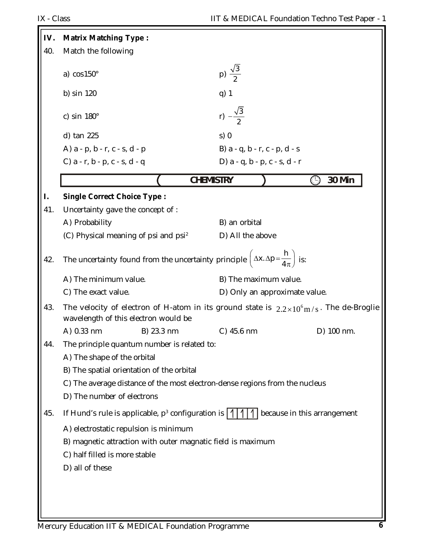Е

| IV. | <b>Matrix Matching Type:</b>                                                                                                                                                                                                         |                                                                                                 |
|-----|--------------------------------------------------------------------------------------------------------------------------------------------------------------------------------------------------------------------------------------|-------------------------------------------------------------------------------------------------|
| 40. | Match the following                                                                                                                                                                                                                  |                                                                                                 |
|     | a) $cos150^\circ$                                                                                                                                                                                                                    | p) $\frac{\sqrt{3}}{2}$                                                                         |
|     | b) sin 120                                                                                                                                                                                                                           | q) 1                                                                                            |
|     | c) sin $180^\circ$                                                                                                                                                                                                                   | r) $-\frac{\sqrt{3}}{2}$                                                                        |
|     | d) tan 225                                                                                                                                                                                                                           | s)0                                                                                             |
|     | A) a - p, b - r, c - s, d - p                                                                                                                                                                                                        | B) a - q, b - r, c - p, d - s                                                                   |
|     | C) $a - r$ , $b - p$ , $c - s$ , $d - q$                                                                                                                                                                                             | D) a - q, b - p, c - s, d - r                                                                   |
|     | <b>CHEMISTRY</b>                                                                                                                                                                                                                     | 30 Min<br>$\left( \begin{smallmatrix} 1\  \end{smallmatrix} \right)$                            |
| I.  | <b>Single Correct Choice Type:</b>                                                                                                                                                                                                   |                                                                                                 |
| 41. | Uncertainty gave the concept of :                                                                                                                                                                                                    |                                                                                                 |
|     | A) Probability                                                                                                                                                                                                                       | B) an orbital                                                                                   |
|     | (C) Physical meaning of psi and psi <sup>2</sup>                                                                                                                                                                                     | D) All the above                                                                                |
| 42. | The uncertainty found from the uncertainty principle $\left(\Delta x.\Delta p = \frac{h}{4\pi}\right)$ is:                                                                                                                           |                                                                                                 |
|     | A) The minimum value.                                                                                                                                                                                                                | B) The maximum value.                                                                           |
|     | C) The exact value.                                                                                                                                                                                                                  | D) Only an approximate value.                                                                   |
| 43. | wavelength of this electron would be                                                                                                                                                                                                 | The velocity of electron of H-atom in its ground state is $2.2 \times 10^6$ m/s. The de-Broglie |
|     | A) 0.33 nm<br>B) 23.3 nm                                                                                                                                                                                                             | C) 45.6 nm<br>D) 100 nm.                                                                        |
| 44. | The principle quantum number is related to:<br>A) The shape of the orbital<br>B) The spatial orientation of the orbital<br>C) The average distance of the most electron-dense regions from the nucleus<br>D) The number of electrons |                                                                                                 |
| 45. | If Hund's rule is applicable, $p^3$ configuration is $ 1 1 1 $                                                                                                                                                                       | because in this arrangement                                                                     |
|     | A) electrostatic repulsion is minimum                                                                                                                                                                                                |                                                                                                 |
|     | B) magnetic attraction with outer magnatic field is maximum                                                                                                                                                                          |                                                                                                 |
|     | C) half filled is more stable                                                                                                                                                                                                        |                                                                                                 |
|     | D) all of these                                                                                                                                                                                                                      |                                                                                                 |
|     |                                                                                                                                                                                                                                      |                                                                                                 |
|     |                                                                                                                                                                                                                                      |                                                                                                 |
|     |                                                                                                                                                                                                                                      |                                                                                                 |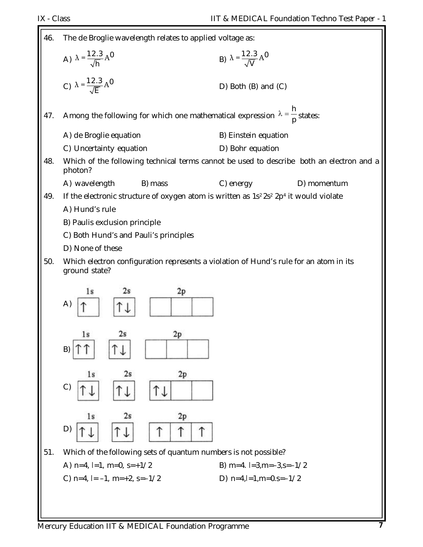| 46. | The de Broglie wavelength relates to applied voltage as:                                                                  |                                          |             |
|-----|---------------------------------------------------------------------------------------------------------------------------|------------------------------------------|-------------|
|     | A) $\lambda = \frac{12.3}{\sqrt{h}} A^0$                                                                                  | B) $\lambda = \frac{12.3}{\sqrt{V}} A^0$ |             |
|     | c) $\lambda = \frac{12.3}{\sqrt{E}} A^0$                                                                                  | $D)$ Both $(B)$ and $(C)$                |             |
| 47. | Among the following for which one mathematical expression $\lambda = \frac{h}{p}$ states:                                 |                                          |             |
|     |                                                                                                                           |                                          |             |
|     | A) de Broglie equation                                                                                                    | B) Einstein equation                     |             |
|     | C) Uncertainty equation                                                                                                   | D) Bohr equation                         |             |
| 48. | Which of the following technical terms cannot be used to describe both an electron and a<br>photon?                       |                                          |             |
|     | A) wavelength<br>B) mass                                                                                                  | C) energy                                | D) momentum |
| 49. | If the electronic structure of oxygen atom is written as 1s <sup>2</sup> 2s <sup>2</sup> 2p <sup>4</sup> it would violate |                                          |             |
|     | A) Hund's rule                                                                                                            |                                          |             |
|     | B) Paulis exclusion principle                                                                                             |                                          |             |
|     | C) Both Hund's and Pauli's principles                                                                                     |                                          |             |
|     | D) None of these                                                                                                          |                                          |             |
| 50. | Which electron configuration represents a violation of Hund's rule for an atom in its<br>ground state?                    |                                          |             |
|     |                                                                                                                           |                                          |             |
|     | 2p<br>2s<br>l s<br>A)                                                                                                     |                                          |             |
|     |                                                                                                                           |                                          |             |
|     | 1s<br>2s<br>2p                                                                                                            |                                          |             |
|     | B)                                                                                                                        |                                          |             |
|     |                                                                                                                           |                                          |             |
|     | 2s<br>2p<br>1s                                                                                                            |                                          |             |
|     | C)                                                                                                                        |                                          |             |
|     | 2s<br>1s<br>2p                                                                                                            |                                          |             |
|     | D)                                                                                                                        |                                          |             |
| 51. | Which of the following sets of quantum numbers is not possible?                                                           |                                          |             |
|     | A) $n=4$ , $l=1$ , $m=0$ , $s=+1/2$                                                                                       | B) m=4. $l=3$ , m= $-3$ , s= $-1/2$      |             |
|     | C) $n=4$ , $l=-1$ , $m=+2$ , $s=-1/2$                                                                                     | D) $n=4, l=1, m=0.5=-1/2$                |             |
|     |                                                                                                                           |                                          |             |
|     |                                                                                                                           |                                          |             |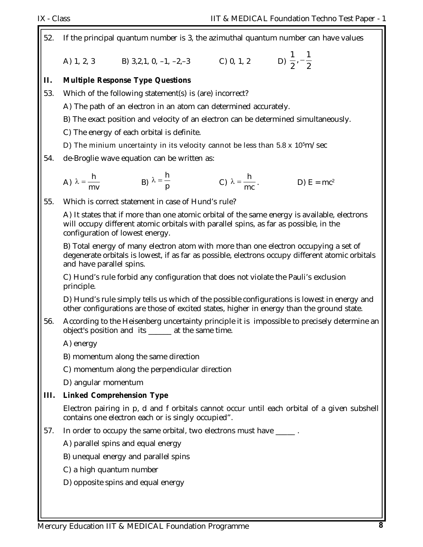| 52.  | If the principal quantum number is 3, the azimuthal quantum number can have values |                                                                                                                          |                               |                                                                                                                                                                                          |  |
|------|------------------------------------------------------------------------------------|--------------------------------------------------------------------------------------------------------------------------|-------------------------------|------------------------------------------------------------------------------------------------------------------------------------------------------------------------------------------|--|
|      |                                                                                    | A) 1, 2, 3 B) 3,2,1, 0, -1, -2,-3 C) 0, 1, 2 D) $\frac{1}{2}$ , $-\frac{1}{2}$                                           |                               |                                                                                                                                                                                          |  |
| П.   |                                                                                    | <b>Multiple Response Type Questions</b>                                                                                  |                               |                                                                                                                                                                                          |  |
| 53.  | Which of the following statement(s) is (are) incorrect?                            |                                                                                                                          |                               |                                                                                                                                                                                          |  |
|      |                                                                                    | A) The path of an electron in an atom can determined accurately.                                                         |                               |                                                                                                                                                                                          |  |
|      |                                                                                    | B) The exact position and velocity of an electron can be determined simultaneously.                                      |                               |                                                                                                                                                                                          |  |
|      |                                                                                    | C) The energy of each orbital is definite.                                                                               |                               |                                                                                                                                                                                          |  |
|      |                                                                                    | D) The minium uncertainty in its velocity cannot be less than $5.8 \times 10^{5}$ m/sec                                  |                               |                                                                                                                                                                                          |  |
| 54.  |                                                                                    | de-Broglie wave equation can be written as:                                                                              |                               |                                                                                                                                                                                          |  |
|      |                                                                                    | A) $\lambda = \frac{h}{mv}$ B) $\lambda = \frac{h}{p}$                                                                   | C) $\lambda = \frac{h}{mc}$ . | D) $E = mc^2$                                                                                                                                                                            |  |
| 55.  |                                                                                    | Which is correct statement in case of Hund's rule?                                                                       |                               |                                                                                                                                                                                          |  |
|      |                                                                                    | will occupy different atomic orbitals with parallel spins, as far as possible, in the<br>configuration of lowest energy. |                               | A) It states that if more than one atomic orbital of the same energy is available, electrons                                                                                             |  |
|      | and have parallel spins.                                                           |                                                                                                                          |                               | B) Total energy of many electron atom with more than one electron occupying a set of<br>degenerate orbitals is lowest, if as far as possible, electrons occupy different atomic orbitals |  |
|      | principle.                                                                         | C) Hund's rule forbid any configuration that does not violate the Pauli's exclusion                                      |                               |                                                                                                                                                                                          |  |
|      |                                                                                    |                                                                                                                          |                               | D) Hund's rule simply tells us which of the possible configurations is lowest in energy and<br>other configurations are those of excited states, higher in energy than the ground state. |  |
| 56.  |                                                                                    | object's position and its ______ at the same time.                                                                       |                               | According to the Heisenberg uncertainty principle it is impossible to precisely determine an                                                                                             |  |
|      | A) energy                                                                          |                                                                                                                          |                               |                                                                                                                                                                                          |  |
|      |                                                                                    | B) momentum along the same direction                                                                                     |                               |                                                                                                                                                                                          |  |
|      |                                                                                    | C) momentum along the perpendicular direction                                                                            |                               |                                                                                                                                                                                          |  |
|      | D) angular momentum                                                                |                                                                                                                          |                               |                                                                                                                                                                                          |  |
| III. |                                                                                    | <b>Linked Comprehension Type</b>                                                                                         |                               |                                                                                                                                                                                          |  |
|      |                                                                                    | contains one electron each or is singly occupied".                                                                       |                               | Electron pairing in p, d and f orbitals cannot occur until each orbital of a given subshell                                                                                              |  |
| 57.  |                                                                                    | In order to occupy the same orbital, two electrons must have _____.                                                      |                               |                                                                                                                                                                                          |  |
|      |                                                                                    | A) parallel spins and equal energy                                                                                       |                               |                                                                                                                                                                                          |  |
|      |                                                                                    | B) unequal energy and parallel spins                                                                                     |                               |                                                                                                                                                                                          |  |
|      | C) a high quantum number                                                           |                                                                                                                          |                               |                                                                                                                                                                                          |  |
|      |                                                                                    | D) opposite spins and equal energy                                                                                       |                               |                                                                                                                                                                                          |  |
|      |                                                                                    |                                                                                                                          |                               |                                                                                                                                                                                          |  |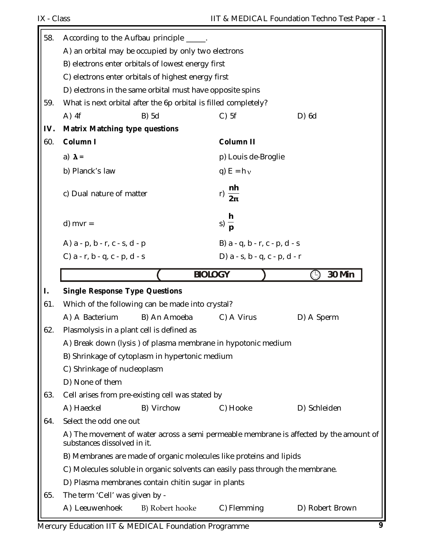| 58. | According to the Aufbau principle                                                                                     |                               |                      |
|-----|-----------------------------------------------------------------------------------------------------------------------|-------------------------------|----------------------|
|     | A) an orbital may be occupied by only two electrons                                                                   |                               |                      |
|     | B) electrons enter orbitals of lowest energy first                                                                    |                               |                      |
|     | C) electrons enter orbitals of highest energy first                                                                   |                               |                      |
|     | D) electrons in the same orbital must have opposite spins                                                             |                               |                      |
| 59. | What is next orbital after the 6p orbital is filled completely?                                                       |                               |                      |
|     | $A)$ 4f<br>B) 5d                                                                                                      | $C)$ 5f                       | $D)$ 6d              |
| IV. | <b>Matrix Matching type questions</b>                                                                                 |                               |                      |
| 60. | Column I                                                                                                              | <b>Column II</b>              |                      |
|     | a) $\lambda$ =                                                                                                        | p) Louis de-Broglie           |                      |
|     | b) Planck's law                                                                                                       | q) $E = h v$                  |                      |
|     |                                                                                                                       |                               |                      |
|     | c) Dual nature of matter                                                                                              | nh<br>r) $\frac{1}{2\pi}$     |                      |
|     |                                                                                                                       |                               |                      |
|     | $d)$ mvr =                                                                                                            | $s) \frac{h}{p}$              |                      |
|     |                                                                                                                       |                               |                      |
|     | A) a - p, b - r, c - s, d - p                                                                                         | B) a - q, b - r, c - p, d - s |                      |
|     | C) $a - r$ , $b - q$ , $c - p$ , $d - s$                                                                              | D) a - s, b - q, c - p, d - r |                      |
|     |                                                                                                                       | <b>BIOLOGY</b>                | 30 Min<br>$\bigcirc$ |
|     |                                                                                                                       |                               |                      |
| I.  | <b>Single Response Type Questions</b>                                                                                 |                               |                      |
| 61. | Which of the following can be made into crystal?                                                                      |                               |                      |
|     | A) A Bacterium<br>B) An Amoeba                                                                                        | C) A Virus                    | D) A Sperm           |
| 62. | Plasmolysis in a plant cell is defined as                                                                             |                               |                      |
|     | A) Break down (lysis) of plasma membrane in hypotonic medium                                                          |                               |                      |
|     | B) Shrinkage of cytoplasm in hypertonic medium                                                                        |                               |                      |
|     | C) Shrinkage of nucleoplasm                                                                                           |                               |                      |
|     | D) None of them                                                                                                       |                               |                      |
| 63. | Cell arises from pre-existing cell was stated by                                                                      |                               |                      |
|     | A) Haeckel<br>B) Virchow                                                                                              | C) Hooke                      | D) Schleiden         |
| 64. | Select the odd one out                                                                                                |                               |                      |
|     | A) The movement of water across a semi permeable membrane is affected by the amount of<br>substances dissolved in it. |                               |                      |
|     | B) Membranes are made of organic molecules like proteins and lipids                                                   |                               |                      |
|     | C) Molecules soluble in organic solvents can easily pass through the membrane.                                        |                               |                      |
|     | D) Plasma membranes contain chitin sugar in plants                                                                    |                               |                      |
| 65. | The term 'Cell' was given by -                                                                                        |                               |                      |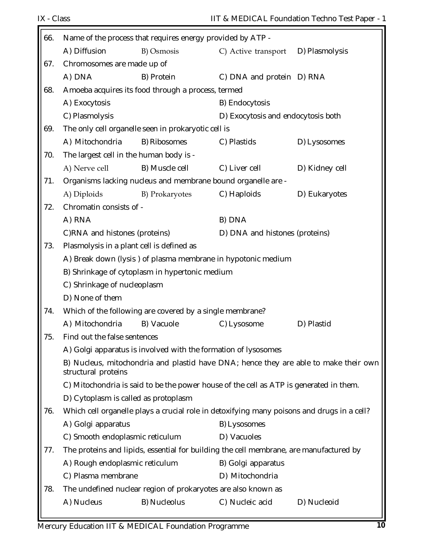| 66. | Name of the process that requires energy provided by ATP - |                                                                |                                                                                            |                                                                                      |
|-----|------------------------------------------------------------|----------------------------------------------------------------|--------------------------------------------------------------------------------------------|--------------------------------------------------------------------------------------|
|     | A) Diffusion                                               | B) Osmosis                                                     | C) Active transport                                                                        | D) Plasmolysis                                                                       |
| 67. | Chromosomes are made up of                                 |                                                                |                                                                                            |                                                                                      |
|     | A) DNA                                                     | B) Protein                                                     | C) DNA and protein D) RNA                                                                  |                                                                                      |
| 68. |                                                            | Amoeba acquires its food through a process, termed             |                                                                                            |                                                                                      |
|     | A) Exocytosis                                              |                                                                | B) Endocytosis                                                                             |                                                                                      |
|     | C) Plasmolysis                                             |                                                                | D) Exocytosis and endocytosis both                                                         |                                                                                      |
| 69. |                                                            | The only cell organelle seen in prokaryotic cell is            |                                                                                            |                                                                                      |
|     | A) Mitochondria                                            | B) Ribosomes                                                   | C) Plastids                                                                                | D) Lysosomes                                                                         |
| 70. | The largest cell in the human body is -                    |                                                                |                                                                                            |                                                                                      |
|     | A) Nerve cell                                              | B) Muscle cell                                                 | C) Liver cell                                                                              | D) Kidney cell                                                                       |
| 71. |                                                            |                                                                | Organisms lacking nucleus and membrane bound organelle are -                               |                                                                                      |
|     | A) Diploids                                                | B) Prokaryotes                                                 | C) Haploids                                                                                | D) Eukaryotes                                                                        |
| 72. | Chromatin consists of -                                    |                                                                |                                                                                            |                                                                                      |
|     | A) RNA                                                     |                                                                | B) DNA                                                                                     |                                                                                      |
|     | C)RNA and histones (proteins)                              |                                                                | D) DNA and histones (proteins)                                                             |                                                                                      |
| 73. | Plasmolysis in a plant cell is defined as                  |                                                                |                                                                                            |                                                                                      |
|     |                                                            |                                                                | A) Break down (lysis) of plasma membrane in hypotonic medium                               |                                                                                      |
|     |                                                            | B) Shrinkage of cytoplasm in hypertonic medium                 |                                                                                            |                                                                                      |
|     | C) Shrinkage of nucleoplasm                                |                                                                |                                                                                            |                                                                                      |
|     | D) None of them                                            |                                                                |                                                                                            |                                                                                      |
| 74. |                                                            | Which of the following are covered by a single membrane?       |                                                                                            |                                                                                      |
|     | A) Mitochondria                                            | B) Vacuole                                                     | C) Lysosome                                                                                | D) Plastid                                                                           |
| 75. | Find out the false sentences                               |                                                                |                                                                                            |                                                                                      |
|     |                                                            | A) Golgi apparatus is involved with the formation of lysosomes |                                                                                            |                                                                                      |
|     | structural proteins                                        |                                                                |                                                                                            | B) Nucleus, mitochondria and plastid have DNA; hence they are able to make their own |
|     |                                                            |                                                                | C) Mitochondria is said to be the power house of the cell as ATP is generated in them.     |                                                                                      |
|     | D) Cytoplasm is called as protoplasm                       |                                                                |                                                                                            |                                                                                      |
| 76. |                                                            |                                                                | Which cell organelle plays a crucial role in detoxifying many poisons and drugs in a cell? |                                                                                      |
|     | A) Golgi apparatus                                         |                                                                | B) Lysosomes                                                                               |                                                                                      |
|     | C) Smooth endoplasmic reticulum                            |                                                                | D) Vacuoles                                                                                |                                                                                      |
| 77. |                                                            |                                                                | The proteins and lipids, essential for building the cell membrane, are manufactured by     |                                                                                      |
|     | A) Rough endoplasmic reticulum                             |                                                                | B) Golgi apparatus                                                                         |                                                                                      |
|     | C) Plasma membrane                                         |                                                                | D) Mitochondria                                                                            |                                                                                      |
| 78. |                                                            | The undefined nuclear region of prokaryotes are also known as  |                                                                                            |                                                                                      |
|     | A) Nucleus                                                 | B) Nucleolus                                                   | C) Nucleic acid                                                                            | D) Nucleoid                                                                          |
|     |                                                            |                                                                |                                                                                            |                                                                                      |